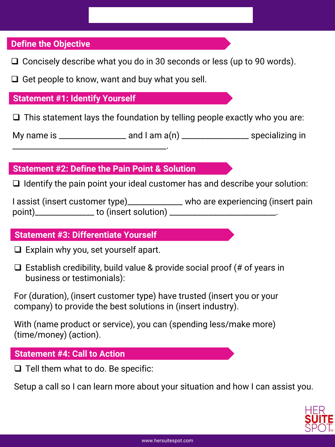## **Define the Objective**

 $\Box$  Concisely describe what you do in 30 seconds or less (up to 90 words).

 $\Box$  Get people to know, want and buy what you sell.

#### **Statement #1: Identify Yourself**

 $\Box$  This statement lays the foundation by telling people exactly who you are:

My name is  $\frac{1}{2}$  and I am a(n)  $\frac{1}{2}$  and  $\frac{1}{2}$  specializing in

# **Statement #2: Define the Pain Point & Solution**

\_\_\_\_\_\_\_\_\_\_\_\_\_\_\_\_\_\_\_\_\_\_\_\_\_\_\_\_\_\_\_\_\_\_\_\_\_\_\_.

 $\Box$  Identify the pain point your ideal customer has and describe your solution:

I assist (insert customer type)\_\_\_\_\_\_\_\_\_\_\_\_\_ who are experiencing (insert pain point)\_\_\_\_\_\_\_\_\_\_\_\_\_\_\_ to (insert solution) \_\_\_\_\_\_\_\_\_\_\_\_\_\_\_\_\_\_\_\_\_\_\_\_\_\_\_.

## **Statement #3: Differentiate Yourself**

 $\Box$  Explain why you, set yourself apart.

 $\Box$  Establish credibility, build value & provide social proof (# of years in business or testimonials):

For (duration), (insert customer type) have trusted (insert you or your company) to provide the best solutions in (insert industry).

With (name product or service), you can (spending less/make more) (time/money) (action).

#### **Statement #4: Call to Action**

 $\Box$  Tell them what to do. Be specific:

Setup a call so I can learn more about your situation and how I can assist you.